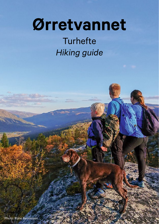# **Ørretvannet**

**Turhefte** *Hiking guide*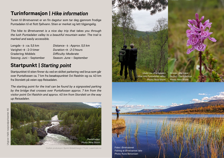## **Turinformasjon |** *Hike information*

Turen til Ørretvannet er en fin dagstur som tar deg gjennom frodige Puntadalen til et flott fjellvann. Stien er merket og lett tilgjengelig.

*The hike to Ørretvannet is a nice day trip that takes you through the lush Puntadalen valley to a beautiful mountain water. The trail is marked and easily accessible.*

Lengde  $\rightarrow$  : ca. 5,5 km Varighet  $\rightarrow$  : 2-3 timer Gradering: Middels Sesong: Juni – September

*Distance → : Approx. 5,5 km Duration*  $\rightarrow$  *: 2-3 hours Difficulty: Moderate Season: June – September*

## **Startpunkt |** *Starting point*

Startpunktet til stien finner du ved en skiltet parkering ved brua som går over Puntafossen ca. 7 km fra besøkspunktet Ovi Raishiin og ca. 40 km fra Storslett på veien opp Reisadalen.

*The starting point for the trail can be found by a signposted parking by the bridge that crosses over Puntafossen approx. 7 km from the visitor point Ovi Raishiin and approx. 40 km from Storslett on the way up Reisadalen.*



Grafisk produksjon: Bjerkli Bilde&Design | Trykk: Lasertrykk.no



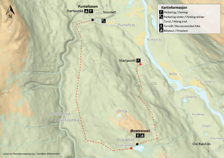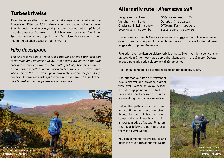## **Turbeskrivelse**

Turen følger en sti/skogsvei som går på sør-østsiden av elva innover Puntadalen. Etter ca. 3,5 km dreier stien mot øst og stiger oppover. Stien blir etter hvert mer utydelig når den flater ut omtrent på høyde med Ørretvannet. Se etter rødt pilskilt omtrent der stien forsvinner. Følg rød merking videre opp til vannet. Den siste kilometeren kan være noe fuktig da stien passerer noen myrer her.

### *Hike description*

*The hike follows a path / forest road that runs on the south-east side of the river into Puntadalen valley. After approx. 3.5 km, the path turns east and continues upwards. The path gradually becomes more indistinct when it flattens out approximately at the level of Ørretvannet lake. Look for the red arrow sign approximately where the path disappears. Follow the red markings further up to the water. The last km can be a bit wet as the trail passes some mires here.* 



## **Alternativ rute |** *Alternative trail*

Lengde  $\rightarrow$  : ca. 3 km Varighet  $\rightarrow$  : 1-2 timer Gradering: Enkel - middels Sesong: Juni – September

*Distance → : Approx. 3 km*  $Duration \rightarrow 1-2$  hours *Difficulty: Easy - moderate Season: June – September*

Den alternative turen til Ørretvannet er kortere og gir et flott utsyn over Reisadalen. Et merket startpunkt til stien finner du en kort km sør for Puntafossen langs veien oppover Reisadalen.

Følg stien over bekken og videre forbi kraftgata. Etter hvert blir stien ganske bratt og du må nærmest klatre opp en bergkant på omtrent 1,5 meter. Deretter er det bare å følge stien videre helt til Ørretvannet.

Her kan du kombinere de to rutene og gå en runde på ca. 10 km.

The alternative hike to Ørretvannet lake is shorter and provides a great view over Reisadalen valley. A marked starting point for the trail can be found a short km south of Puntafossen along the road up Reisadalen.

Follow the path across the stream and continue past the power street. Eventually the trail becomes quite steep, and you almost have to climb a mountain edge of about 1.5 meters. Then just follow the path further all the way to Ørretvannet.

You can combine the two routes and make it a round trip of approx. 10 km.

På tur til Ørretvannet Hiking to Ørretvannet Photo: Nina Storm